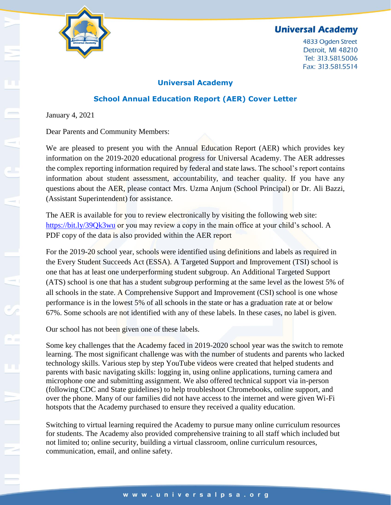

4833 Ogden Street Detroit, MI 48210 Tel: 313.581.5006 Fax: 313.581.5514

#### **Universal Academy**

#### **School Annual Education Report (AER) Cover Letter**

January 4, 2021

Dear Parents and Community Members:

We are pleased to present you with the Annual Education Report (AER) which provides key information on the 2019-2020 educational progress for Universal Academy. The AER addresses the complex reporting information required by federal and state laws. The school's report contains information about student assessment, accountability, and teacher quality. If you have any questions about the AER, please contact Mrs. Uzma Anjum (School Principal) or Dr. Ali Bazzi, (Assistant Superintendent) for assistance.

The AER is available for you to review electronically by visiting the following web site: <https://bit.ly/39Qk3wu> or you may review a copy in the main office at your child's school. A PDF copy of the data is also provided within the AER report

For the 2019-20 school year, schools were identified using definitions and labels as required in the Every Student Succeeds Act (ESSA). A Targeted Support and Improvement (TSI) school is one that has at least one underperforming student subgroup. An Additional Targeted Support (ATS) school is one that has a student subgroup performing at the same level as the lowest 5% of all schools in the state. A Comprehensive Support and Improvement (CSI) school is one whose performance is in the lowest 5% of all schools in the state or has a graduation rate at or below 67%. Some schools are not identified with any of these labels. In these cases, no label is given.

Our school has not been given one of these labels.

Some key challenges that the Academy faced in 2019-2020 school year was the switch to remote learning. The most significant challenge was with the number of students and parents who lacked technology skills. Various step by step YouTube videos were created that helped students and parents with basic navigating skills: logging in, using online applications, turning camera and microphone one and submitting assignment. We also offered technical support via in-person (following CDC and State guidelines) to help troubleshoot Chromebooks, online support, and over the phone. Many of our families did not have access to the internet and were given Wi-Fi hotspots that the Academy purchased to ensure they received a quality education.

Switching to virtual learning required the Academy to pursue many online curriculum resources for students. The Academy also provided comprehensive training to all staff which included but not limited to; online security, building a virtual classroom, online curriculum resources, communication, email, and online safety.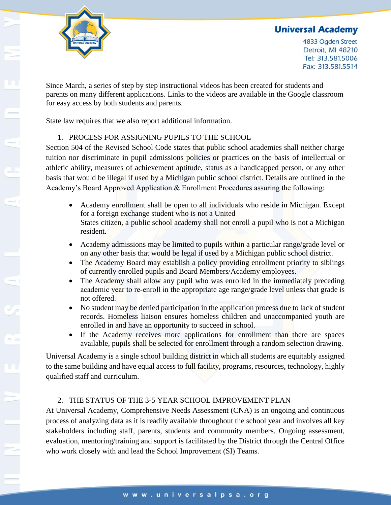

4833 Ogden Street Detroit, MI 48210 Tel: 313.581.5006 Fax: 313.581.5514

Since March, a series of step by step instructional videos has been created for students and parents on many different applications. Links to the videos are available in the Google classroom for easy access by both students and parents.

State law requires that we also report additional information.

#### 1. PROCESS FOR ASSIGNING PUPILS TO THE SCHOOL

Section 504 of the Revised School Code states that public school academies shall neither charge tuition nor discriminate in pupil admissions policies or practices on the basis of intellectual or athletic ability, measures of achievement aptitude, status as a handicapped person, or any other basis that would be illegal if used by a Michigan public school district. Details are outlined in the Academy's Board Approved Application & Enrollment Procedures assuring the following:

- Academy enrollment shall be open to all individuals who reside in Michigan. Except for a foreign exchange student who is not a United States citizen, a public school academy shall not enroll a pupil who is not a Michigan resident.
- Academy admissions may be limited to pupils within a particular range/grade level or on any other basis that would be legal if used by a Michigan public school district.
- The Academy Board may establish a policy providing enrollment priority to siblings of currently enrolled pupils and Board Members/Academy employees.
- The Academy shall allow any pupil who was enrolled in the immediately preceding academic year to re-enroll in the appropriate age range/grade level unless that grade is not offered.
- No student may be denied participation in the application process due to lack of student records. Homeless liaison ensures homeless children and unaccompanied youth are enrolled in and have an opportunity to succeed in school.
- If the Academy receives more applications for enrollment than there are spaces available, pupils shall be selected for enrollment through a random selection drawing.

Universal Academy is a single school building district in which all students are equitably assigned to the same building and have equal access to full facility, programs, resources, technology, highly qualified staff and curriculum.

#### 2. THE STATUS OF THE 3-5 YEAR SCHOOL IMPROVEMENT PLAN

At Universal Academy, Comprehensive Needs Assessment (CNA) is an ongoing and continuous process of analyzing data as it is readily available throughout the school year and involves all key stakeholders including staff, parents, students and community members. Ongoing assessment, evaluation, mentoring/training and support is facilitated by the District through the Central Office who work closely with and lead the School Improvement (SI) Teams.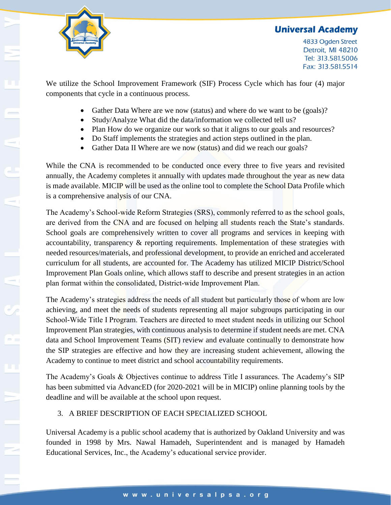

4833 Ogden Street Detroit, MI 48210 Tel: 313.581.5006 Fax: 313.581.5514

We utilize the School Improvement Framework (SIF) Process Cycle which has four (4) major components that cycle in a continuous process.

- Gather Data Where are we now (status) and where do we want to be (goals)?
- Study/Analyze What did the data/information we collected tell us?
- Plan How do we organize our work so that it aligns to our goals and resources?
- Do Staff implements the strategies and action steps outlined in the plan.
- Gather Data II Where are we now (status) and did we reach our goals?

While the CNA is recommended to be conducted once every three to five years and revisited annually, the Academy completes it annually with updates made throughout the year as new data is made available. MICIP will be used as the online tool to complete the School Data Profile which is a comprehensive analysis of our CNA.

The Academy's School-wide Reform Strategies (SRS), commonly referred to as the school goals, are derived from the CNA and are focused on helping all students reach the State's standards. School goals are comprehensively written to cover all programs and services in keeping with accountability, transparency & reporting requirements. Implementation of these strategies with needed resources/materials, and professional development, to provide an enriched and accelerated curriculum for all students, are accounted for. The Academy has utilized MICIP District/School Improvement Plan Goals online, which allows staff to describe and present strategies in an action plan format within the consolidated, District‐wide Improvement Plan.

The Academy's strategies address the needs of all student but particularly those of whom are low achieving, and meet the needs of students representing all major subgroups participating in our School-Wide Title I Program. Teachers are directed to meet student needs in utilizing our School Improvement Plan strategies, with continuous analysis to determine if student needs are met. CNA data and School Improvement Teams (SIT) review and evaluate continually to demonstrate how the SIP strategies are effective and how they are increasing student achievement, allowing the Academy to continue to meet district and school accountability requirements.

The Academy's Goals & Objectives continue to address Title I assurances. The Academy's SIP has been submitted via AdvancED (for 2020-2021 will be in MICIP) online planning tools by the deadline and will be available at the school upon request.

#### 3. A BRIEF DESCRIPTION OF EACH SPECIALIZED SCHOOL

Universal Academy is a public school academy that is authorized by Oakland University and was founded in 1998 by Mrs. Nawal Hamadeh, Superintendent and is managed by Hamadeh Educational Services, Inc., the Academy's educational service provider.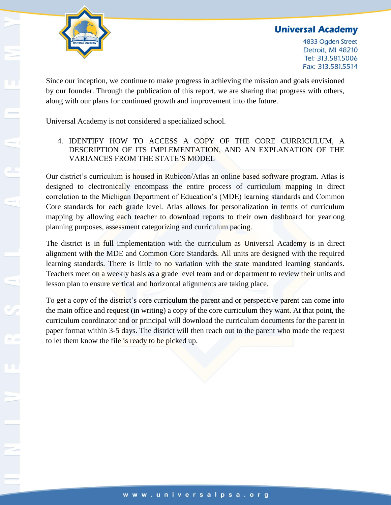

4833 Ogden Street Detroit, MI 48210 Tel: 313.581.5006 Fax: 313.581.5514

Since our inception, we continue to make progress in achieving the mission and goals envisioned by our founder. Through the publication of this report, we are sharing that progress with others, along with our plans for continued growth and improvement into the future.

Universal Academy is not considered a specialized school.

4. IDENTIFY HOW TO ACCESS A COPY OF THE CORE CURRICULUM, A DESCRIPTION OF ITS IMPLEMENTATION, AND AN EXPLANATION OF THE VARIANCES FROM THE STATE'S MODEL

Our district's curriculum is housed in Rubicon/Atlas an online based software program. Atlas is designed to electronically encompass the entire process of curriculum mapping in direct correlation to the Michigan Department of Education's (MDE) learning standards and Common Core standards for each grade level. Atlas allows for personalization in terms of curriculum mapping by allowing each teacher to download reports to their own dashboard for yearlong planning purposes, assessment categorizing and curriculum pacing.

The district is in full implementation with the curriculum as Universal Academy is in direct alignment with the MDE and Common Core Standards. All units are designed with the required learning standards. There is little to no variation with the state mandated learning standards. Teachers meet on a weekly basis as a grade level team and or department to review their units and lesson plan to ensure vertical and horizontal alignments are taking place.

To get a copy of the district's core curriculum the parent and or perspective parent can come into the main office and request (in writing) a copy of the core curriculum they want. At that point, the curriculum coordinator and or principal will download the curriculum documents for the parent in paper format within 3-5 days. The district will then reach out to the parent who made the request to let them know the file is ready to be picked up.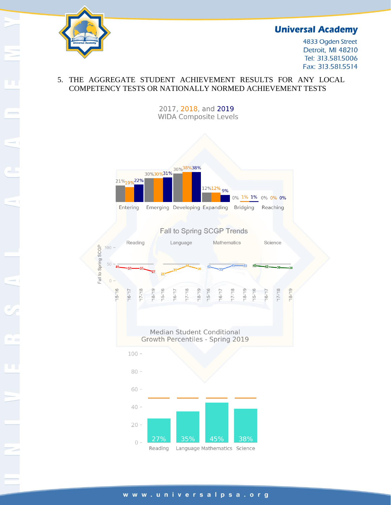

4833 Ogden Street Detroit, MI 48210 Tel: 313.581.5006 Fax: 313.581.5514

5. THE AGGREGATE STUDENT ACHIEVEMENT RESULTS FOR ANY LOCAL COMPETENCY TESTS OR NATIONALLY NORMED ACHIEVEMENT TESTS



#### www.universalpsa.org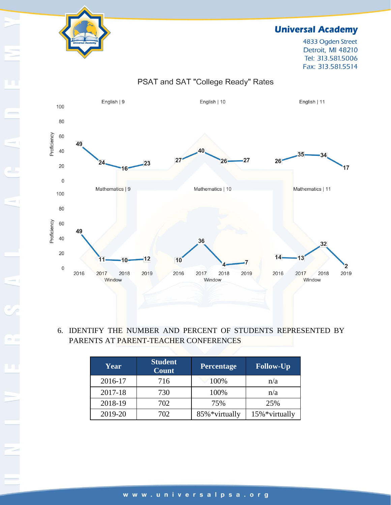

4833 Ogden Street Detroit, MI 48210 Tel: 313.581.5006 Fax: 313.581.5514



# PSAT and SAT "College Ready" Rates

6. IDENTIFY THE NUMBER AND PERCENT OF STUDENTS REPRESENTED BY PARENTS AT PARENT-TEACHER CONFERENCES

| Year    | <b>Student</b><br><b>Count</b> | <b>Percentage</b> | <b>Follow-Up</b> |
|---------|--------------------------------|-------------------|------------------|
| 2016-17 | 716                            | 100%              | n/a              |
| 2017-18 | 730                            | 100%              | n/a              |
| 2018-19 | 702                            | 75%               | 25%              |
| 2019-20 | 702                            | 85%*virtually     | 15%*virtually    |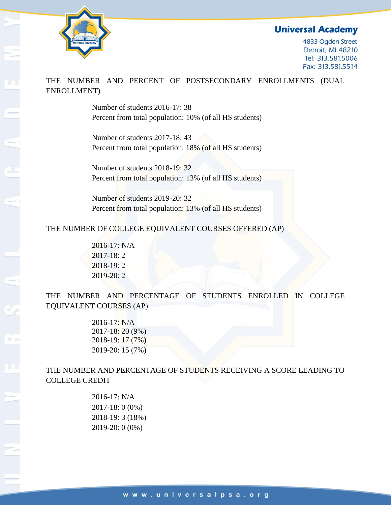

4833 Ogden Street Detroit, MI 48210 Tel: 313.581.5006 Fax: 313.581.5514

#### THE NUMBER AND PERCENT OF POSTSECONDARY ENROLLMENTS (DUAL ENROLLMENT)

Number of students 2016-17: 38 Percent from total population: 10% (of all HS students)

Number of students 2017-18: 43 Percent from total population: 18% (of all HS students)

Number of students 2018-19: 32 Percent from total population: 13% (of all HS students)

Number of students 2019-20: 32 Percent from total population: 13% (of all HS students)

#### THE NUMBER OF COLLEGE EQUIVALENT COURSES OFFERED (AP)

2016-17: N/A 2017-18: 2 2018-19: 2 2019-20: 2

THE NUMBER AND PERCENTAGE OF STUDENTS ENROLLED IN COLLEGE EQUIVALENT COURSES (AP)

> 2016-17: N/A 2017-18: 20 (9%) 2018-19: 17 (7%) 2019-20: 15 (7%)

THE NUMBER AND PERCENTAGE OF STUDENTS RECEIVING A SCORE LEADING TO COLLEGE CREDIT

> 2016-17: N/A 2017-18: 0 (0%) 2018-19: 3 (18%) 2019-20: 0 (0%)